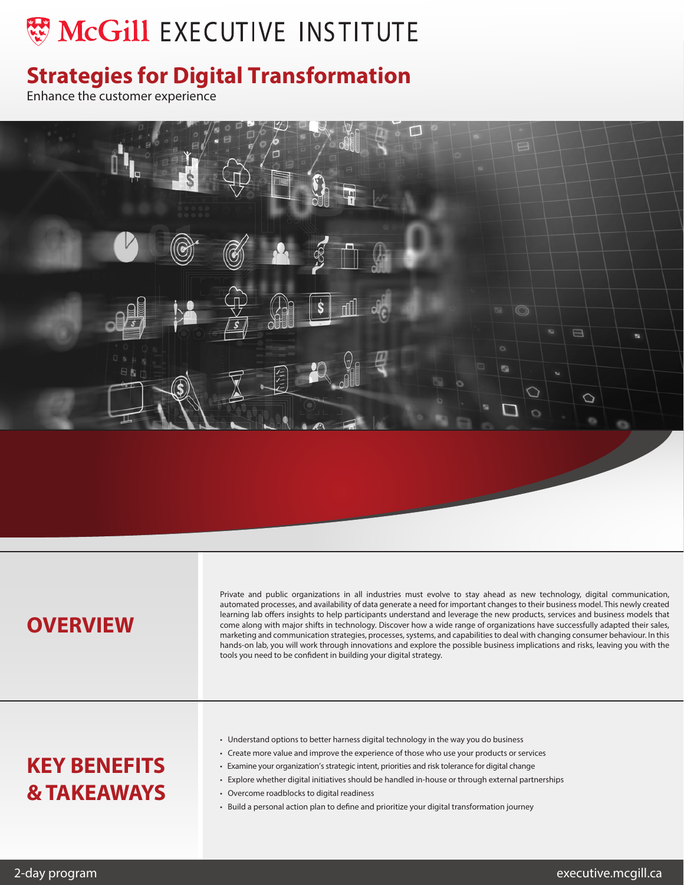# **WO MCGILL EXECUTIVE INSTITUTE**

## **Strategies for Digital Transformation**

Enhance the customer experience



### **OVERVIEW**

Private and public organizations in all industries must evolve to stay ahead as new technology, digital communication, automated processes, and availability of data generate a need for important changes to their business model. This newly created learning lab offers insights to help participants understand and leverage the new products, services and business models that come along with major shifts in technology. Discover how a wide range of organizations have successfully adapted their sales, marketing and communication strategies, processes, systems, and capabilities to deal with changing consumer behaviour. In this hands-on lab, you will work through innovations and explore the possible business implications and risks, leaving you with the tools you need to be confident in building your digital strategy.

## **KEY BENEFITS & TAKEAWAYS**

- Understand options to better harness digital technology in the way you do business
- Create more value and improve the experience of those who use your products or services
- Examine your organization's strategic intent, priorities and risk tolerance for digital change
- Explore whether digital initiatives should be handled in-house or through external partnerships
- Overcome roadblocks to digital readiness
- Build a personal action plan to define and prioritize your digital transformation journey